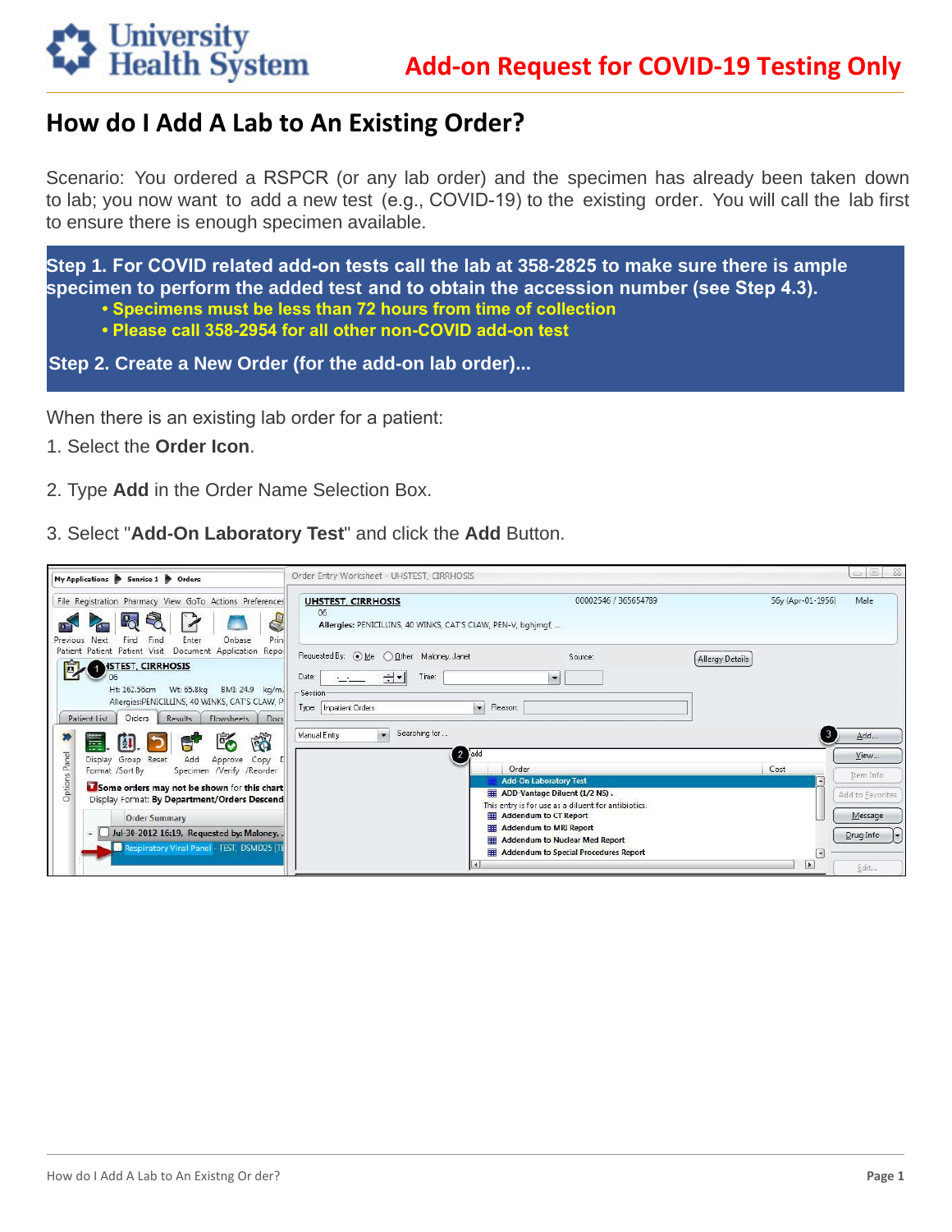## **Add-on Request for COVID-19 Testing Only**

## How do I Add A Lab to An Existing Order?

**University<br>Health System** 

Scenario: You ordered a RSPCR (or any lab order) and the specimen has already been taken down to lab; you now want to add a new test (e.g., COVID-19) to the existing order. You will call the lab first to ensure there is enough specimen available.

Step 1. For COVID related add-on tests call the lab at 358-2825 to make sure there is ample specimen to perform the added test and to obtain the accession number (see Step 4.3).

- Specimens must be less than 72 hours from time of collection
- . Please call 358-2954 for all other non-COVID add-on test

Step 2. Create a New Order (for the add-on lab order)...

When there is an existing lab order for a patient:

- 1. Select the Order Icon.
- 2. Type Add in the Order Name Selection Box.
- 3. Select "Add-On Laboratory Test" and click the Add Button.

| My Applications Sunrise 1 9 Orders                                                                                                                                                                                                              | Order Entry Worksheet - UHSTEST, CIRRHOSIS                                                                                                                                                                                                                                   |                            | ▣<br>- 23<br>C(1)    |
|-------------------------------------------------------------------------------------------------------------------------------------------------------------------------------------------------------------------------------------------------|------------------------------------------------------------------------------------------------------------------------------------------------------------------------------------------------------------------------------------------------------------------------------|----------------------------|----------------------|
| File Registration Pharmacy View GoTo Actions Preferences<br><sup>1</sup> o<br>Previous<br>Find<br>Enter<br>Onbase<br>Next<br>Find                                                                                                               | 00002546 / 365654789<br><b>UHSTEST, CIRRHOSIS</b><br>06<br>C<br>Allergies: PENICILLINS, 40 WINKS, CAT'S CLAW, PEN-V, bghjmgf,<br>Prin                                                                                                                                        | 56y (Apr-01-1956)          | Male                 |
| Patient Patient Patient Visit Document Application Repor<br>回<br><b>ISTEST, CIRRHOSIS</b><br>Ht: 162.56cm<br>Wt: 65.8kg<br>BMI: 24.9 kg/m.<br>Allergies:PENICILLINS, 40 WINKS, CAT'S CLAW, P<br>Patient List<br>Orders<br>Results<br>Flowsheets | Requested By: (a) Me (C) Other: Maloney, Janet<br>Source:<br>Allergy Details<br>⊣∼∥<br>Date:<br>Time:<br>$\overline{ }$<br>للمستخلصة<br>-Session<br>$\overline{ }$<br>Reason:<br>Type: Inpatient Orders<br>Doci<br>Searching for<br>$\overline{\phantom{a}}$<br>Manual Entry | $\left(3\right)$           | Add                  |
| 商<br>畐<br>Eó<br>$\blacksquare$<br>Panel<br>Group Reset<br>Add<br>Copy<br>Display<br>Approve<br>Specimen /Verify /Reorder<br>Format /Sort By                                                                                                     | $2$ add<br>Order<br>Cost<br><b>Add-On Laboratory Test</b>                                                                                                                                                                                                                    |                            | View<br>Item Info    |
| Options<br>Some orders may not be shown for this chart<br>Display Format: By Department/Orders Descend                                                                                                                                          | ADD-Vantage Diluent (1/2 NS).<br>This entry is for use as a diluent for antibiotics.                                                                                                                                                                                         |                            | Add to Favorites     |
| <b>Order Summary</b><br>Jul-30-2012 16:19, Requested by: Maloney, J<br>e il<br>Respiratory Viral Panel - TEST, DSMD25 (TE                                                                                                                       | <b>Eddendum</b> to CT Report<br><b>Addendum to MRI Report</b><br><b>Addendum to Nuclear Med Report</b><br>Addendum to Special Procedures Report                                                                                                                              | $\lceil \mathbf{v} \rceil$ | Message<br>Drug Info |
|                                                                                                                                                                                                                                                 | $\vert$ 4                                                                                                                                                                                                                                                                    | $\vert$                    | Edit                 |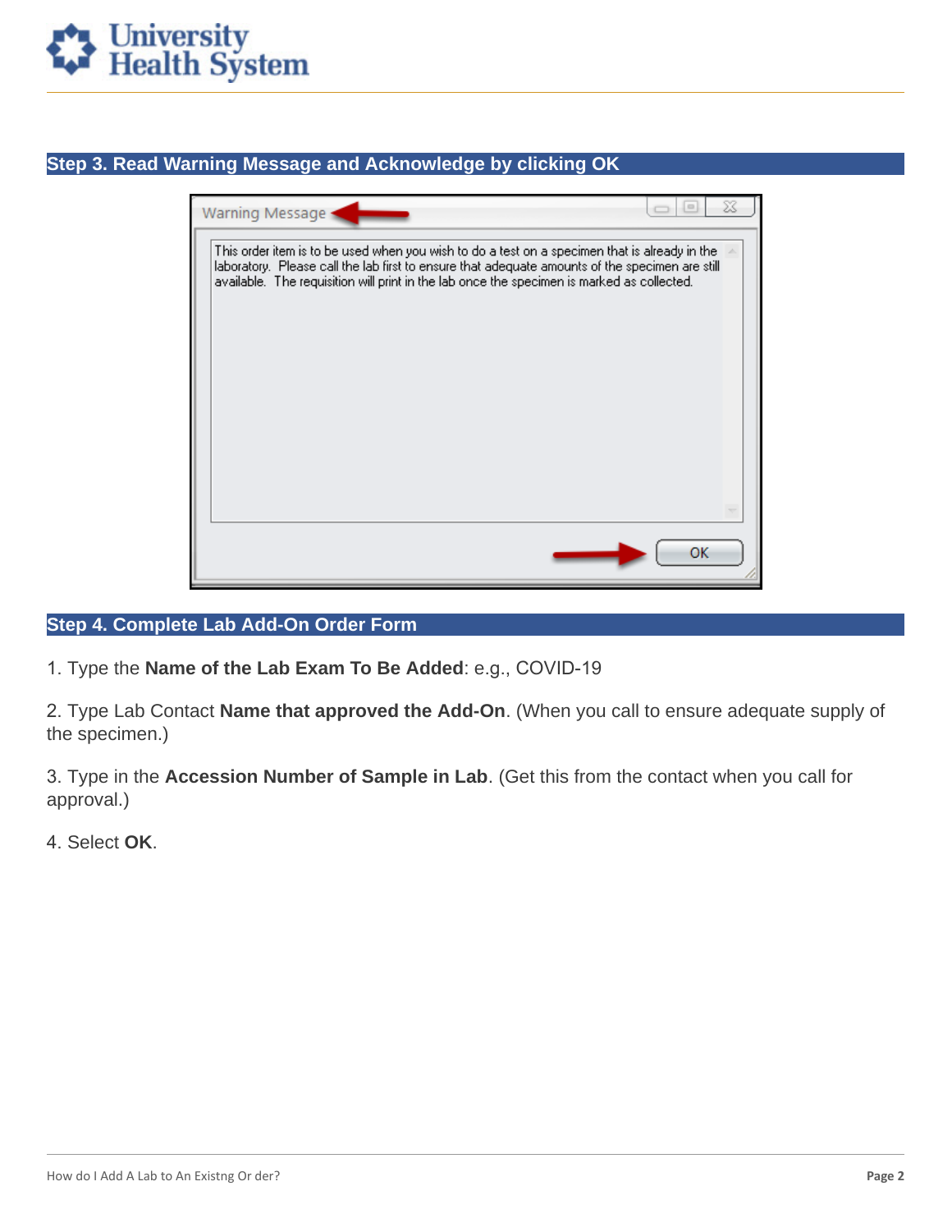

### **Step 3. Read Warning Message and Acknowledge by clicking OK**

| Warning Message                                                                                                                                                                                                                                                                                |    |  |
|------------------------------------------------------------------------------------------------------------------------------------------------------------------------------------------------------------------------------------------------------------------------------------------------|----|--|
| This order item is to be used when you wish to do a test on a specimen that is already in the<br>laboratory. Please call the lab first to ensure that adequate amounts of the specimen are still<br>available. The requisition will print in the lab once the specimen is marked as collected. |    |  |
|                                                                                                                                                                                                                                                                                                |    |  |
|                                                                                                                                                                                                                                                                                                | ОΚ |  |

#### **Step 4. Complete Lab Add-On Order Form**

1. Type the **Name of the Lab Exam To Be Added**: e.g., COVID-19

2. Type Lab Contact **Name that approved the Add-On**. (When you call to ensure adequate supply of the specimen.)

3. Type in the **Accession Number of Sample in Lab**. (Get this from the contact when you call for approval.)

4. Select **OK**.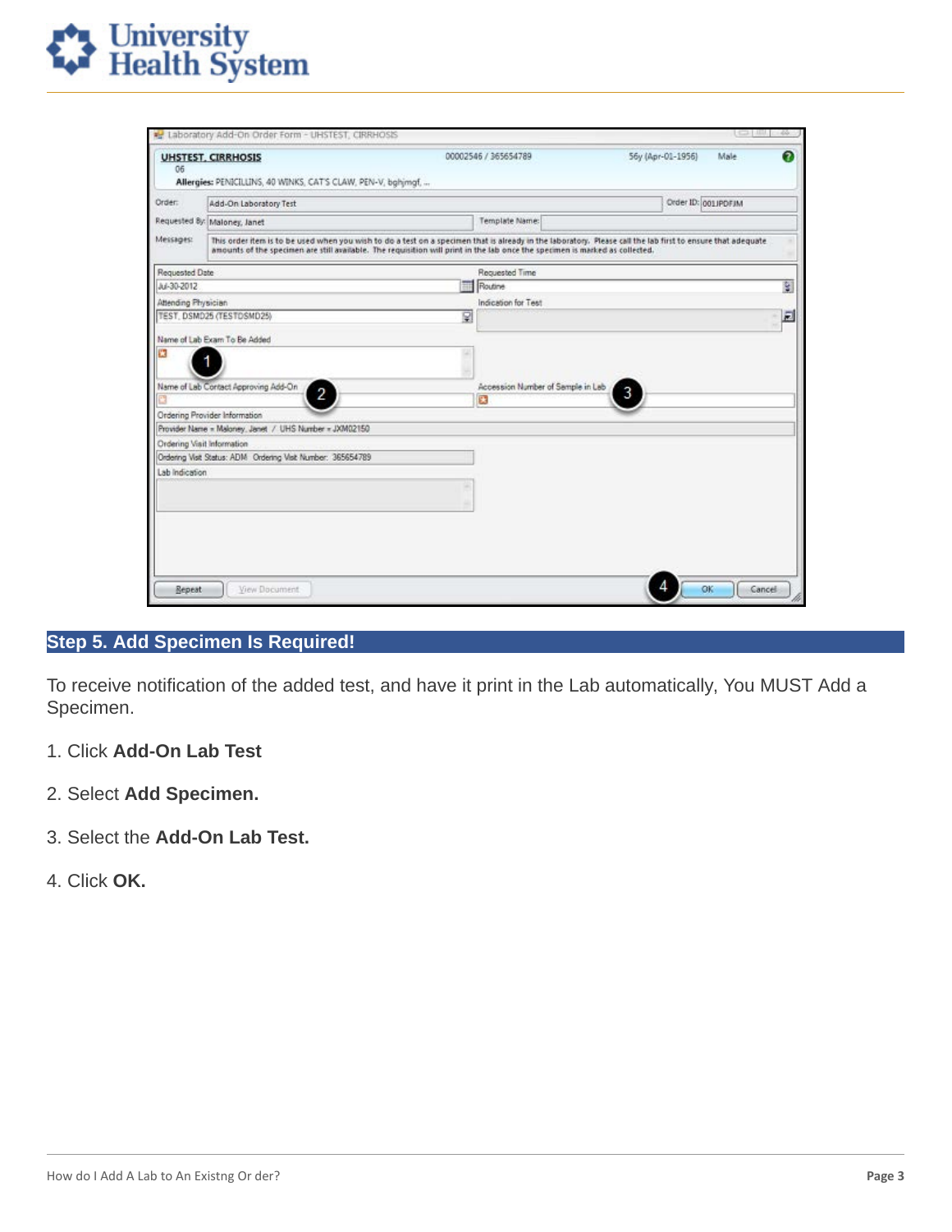

| 06                                                                                                                                                                                                                                                                                                       | <b>UHSTEST, CIRRHOSIS</b><br>Allergies: PENICILLINS, 40 WINKS, CAT'S CLAW, PEN-V, bghimgf. | 00002546 / 365654789              | Ω<br>56y (Apr-01-1956)<br>Male |
|----------------------------------------------------------------------------------------------------------------------------------------------------------------------------------------------------------------------------------------------------------------------------------------------------------|--------------------------------------------------------------------------------------------|-----------------------------------|--------------------------------|
| Order:                                                                                                                                                                                                                                                                                                   | Add-On Laboratory Test                                                                     |                                   | Order ID: 001 IPDFJM           |
|                                                                                                                                                                                                                                                                                                          | Requested By: Maloney, Janet                                                               | Template Name:                    |                                |
| Messages:<br>This order item is to be used when you wish to do a test on a specimen that is already in the laboratory. Please call the lab first to ensure that adequate<br>amounts of the specimen are still available. The requisition will print in the lab once the specimen is marked as collected. |                                                                                            |                                   |                                |
| Requested Date                                                                                                                                                                                                                                                                                           |                                                                                            | Requested Time                    |                                |
| Jul-30-2012                                                                                                                                                                                                                                                                                              |                                                                                            | <b>Routine</b>                    | S.                             |
| Attending Physician                                                                                                                                                                                                                                                                                      |                                                                                            | Indication for Test               |                                |
|                                                                                                                                                                                                                                                                                                          | TEST, DSMD25 (TESTDSMD25)                                                                  | R                                 | 园                              |
|                                                                                                                                                                                                                                                                                                          | Name of Lab Exam To Be Added                                                               |                                   |                                |
|                                                                                                                                                                                                                                                                                                          |                                                                                            |                                   |                                |
|                                                                                                                                                                                                                                                                                                          | Name of Lab Contact Approving Add-On                                                       | Accession Number of Semple in Leb | 3                              |
|                                                                                                                                                                                                                                                                                                          | 2                                                                                          | C.                                |                                |
|                                                                                                                                                                                                                                                                                                          | Ordering Provider Information                                                              |                                   |                                |
|                                                                                                                                                                                                                                                                                                          | Provider Name = Maloney, Janet / UHS Number = JXM02150                                     |                                   |                                |
| Ordering Visit Information                                                                                                                                                                                                                                                                               |                                                                                            |                                   |                                |
|                                                                                                                                                                                                                                                                                                          | Ordering Watt Status: ADM Ordering Visit Number: 365654789                                 |                                   |                                |
| Lab Indication                                                                                                                                                                                                                                                                                           |                                                                                            |                                   |                                |
|                                                                                                                                                                                                                                                                                                          |                                                                                            |                                   |                                |
|                                                                                                                                                                                                                                                                                                          |                                                                                            |                                   |                                |
|                                                                                                                                                                                                                                                                                                          |                                                                                            |                                   |                                |
|                                                                                                                                                                                                                                                                                                          |                                                                                            |                                   |                                |
|                                                                                                                                                                                                                                                                                                          |                                                                                            |                                   |                                |
|                                                                                                                                                                                                                                                                                                          |                                                                                            |                                   |                                |

#### Step 5. Add Specimen Is Required!

To receive notification of the added test, and have it print in the Lab automatically, You MUST Add a Specimen.

- 1. Click Add-On Lab Test
- 2. Select Add Specimen.
- 3. Select the Add-On Lab Test.
- 4. Click OK.